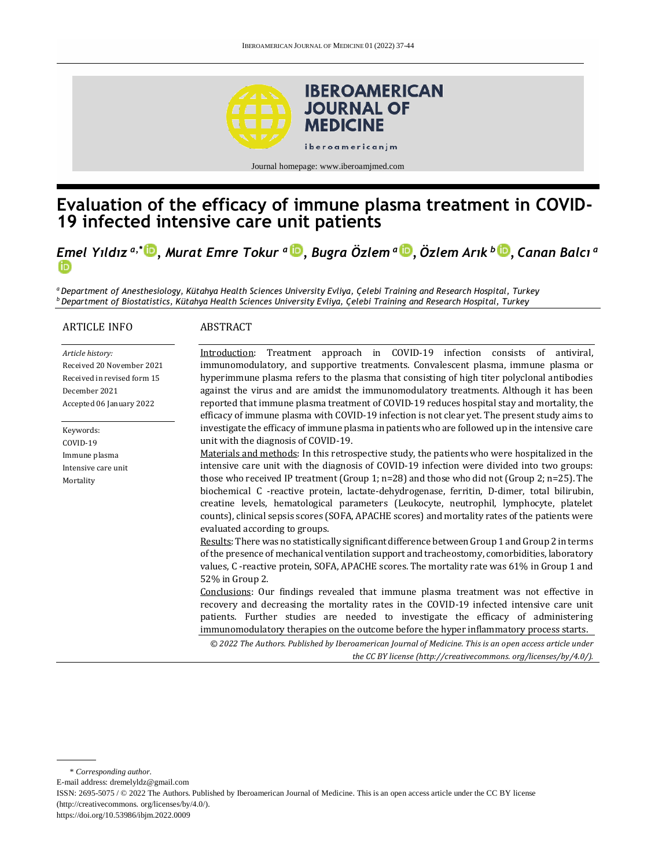

Journal homepage[: www.iberoamjmed.com](file:///C:/Users/EDUARDO/Desktop/REVISTA/Iberoamerican%20Journal%20of%20Medicine/Issues/Formato%20artículos/Bilingüe/www.iberoamjmed.com)

# **Evaluation of the efficacy of immune plasma treatment in COVID-19 infected intensive care unit patients**

*Emel Yıldız a,\* [,](http://orcid.org/0000-0003-4493-2099) Murat Emre Tokur <sup>a</sup> , Bugra Özlem <sup>a</sup> [,](http://orcid.org/0000-0003-4840-578X) Özlem Arık <sup>b</sup> [,](http://orcid.org/0000-0002-9427-3733) Canan Balcı <sup>a</sup>*

*<sup>a</sup>Department of Anesthesiology, Kütahya Health Sciences University Evliya, Çelebi Training and Research Hospital, Turkey <sup>b</sup>Department of Biostatistics, Kütahya Health Sciences University Evliya, Çelebi Training and Research Hospital, Turkey*

#### ARTICLE INFO

#### ABSTRACT

*Article history:* Received 20 November 2021 Received in revised form 15 December 2021 Accepted 06 January 2022

Keywords: COVID-19 Immune plasma Intensive care unit Mortality

Introduction: Treatment approach in COVID-19 infection consists of antiviral, immunomodulatory, and supportive treatments. Convalescent plasma, immune plasma or hyperimmune plasma refers to the plasma that consisting of high titer polyclonal antibodies against the virus and are amidst the immunomodulatory treatments. Although it has been reported that immune plasma treatment of COVID-19 reduces hospital stay and mortality, the efficacy of immune plasma with COVID-19 infection is not clear yet. The present study aims to investigate the efficacy of immune plasma in patients who are followed up in the intensive care unit with the diagnosis of COVID-19.

Materials and methods: In this retrospective study, the patients who were hospitalized in the intensive care unit with the diagnosis of COVID-19 infection were divided into two groups: those who received IP treatment (Group 1; n=28) and those who did not (Group 2; n=25). The biochemical C -reactive protein, lactate-dehydrogenase, ferritin, D-dimer, total bilirubin, creatine levels, hematological parameters (Leukocyte, neutrophil, lymphocyte, platelet counts), clinical sepsis scores (SOFA, APACHE scores) and mortality rates of the patients were evaluated according to groups.

Results: There was no statistically significant difference between Group 1 and Group 2 in terms of the presence of mechanical ventilation support and tracheostomy, comorbidities, laboratory values, C -reactive protein, SOFA, APACHE scores. The mortality rate was 61% in Group 1 and 52% in Group 2.

Conclusions: Our findings revealed that immune plasma treatment was not effective in recovery and decreasing the mortality rates in the COVID-19 infected intensive care unit patients. Further studies are needed to investigate the efficacy of administering immunomodulatory therapies on the outcome before the hyper inflammatory process starts.

*© 2022 The Authors. Published by Iberoamerican Journal of Medicine. This is an open access article under the CC BY license (http:/[/creativecommons. org/licenses/by/4.0/\)](https://creativecommons.org/licenses/by/4.0/).*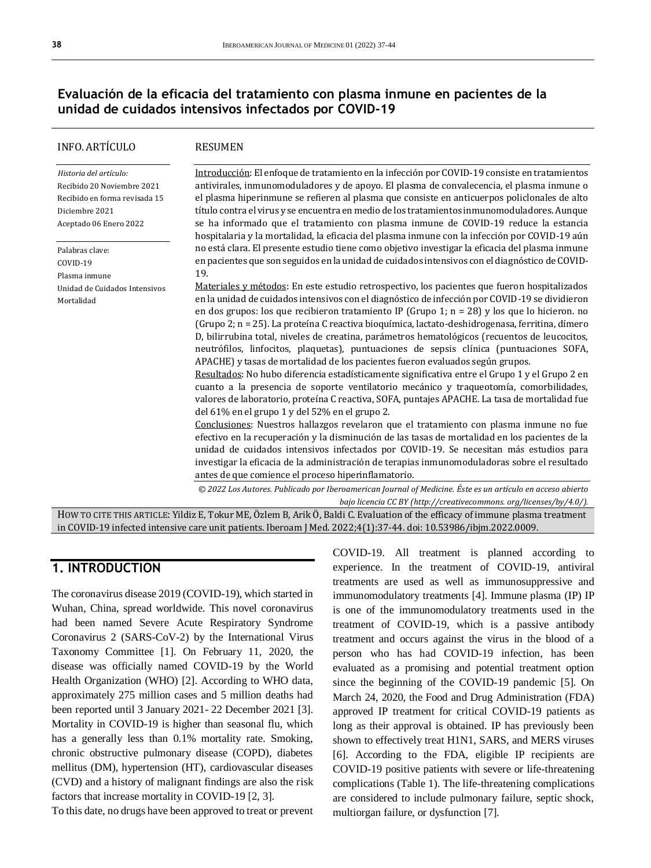### **Evaluación de la eficacia del tratamiento con plasma inmune en pacientes de la unidad de cuidados intensivos infectados por COVID-19**

| INFO. ARTÍCULO                                                                                                                    | <b>RESUMEN</b>                                                                                                                                                                                                                                                                                                                                                                                                                                                                                                                                                                                                                                                                                                                                                                                                                                                                                                                |
|-----------------------------------------------------------------------------------------------------------------------------------|-------------------------------------------------------------------------------------------------------------------------------------------------------------------------------------------------------------------------------------------------------------------------------------------------------------------------------------------------------------------------------------------------------------------------------------------------------------------------------------------------------------------------------------------------------------------------------------------------------------------------------------------------------------------------------------------------------------------------------------------------------------------------------------------------------------------------------------------------------------------------------------------------------------------------------|
| Historia del artículo:<br>Recibido 20 Noviembre 2021<br>Recibido en forma revisada 15<br>Diciembre 2021<br>Aceptado 06 Enero 2022 | Introducción: El enfoque de tratamiento en la infección por COVID-19 consiste en tratamientos<br>antivirales, inmunomoduladores y de apoyo. El plasma de convalecencia, el plasma inmune o<br>el plasma hiperinmune se refieren al plasma que consiste en anticuerpos policlonales de alto<br>título contra el virus y se encuentra en medio de los tratamientos inmunomoduladores. Aunque<br>se ha informado que el tratamiento con plasma inmune de COVID-19 reduce la estancia<br>hospitalaria y la mortalidad, la eficacia del plasma inmune con la infección por COVID-19 aún                                                                                                                                                                                                                                                                                                                                            |
| Palabras clave:                                                                                                                   | no está clara. El presente estudio tiene como objetivo investigar la eficacia del plasma inmune                                                                                                                                                                                                                                                                                                                                                                                                                                                                                                                                                                                                                                                                                                                                                                                                                               |
| COVID-19                                                                                                                          | en pacientes que son seguidos en la unidad de cuidados intensivos con el diagnóstico de COVID-                                                                                                                                                                                                                                                                                                                                                                                                                                                                                                                                                                                                                                                                                                                                                                                                                                |
| Plasma inmune                                                                                                                     | 19.                                                                                                                                                                                                                                                                                                                                                                                                                                                                                                                                                                                                                                                                                                                                                                                                                                                                                                                           |
| Unidad de Cuidados Intensivos                                                                                                     | Materiales y métodos: En este estudio retrospectivo, los pacientes que fueron hospitalizados                                                                                                                                                                                                                                                                                                                                                                                                                                                                                                                                                                                                                                                                                                                                                                                                                                  |
| Mortalidad                                                                                                                        | en la unidad de cuidados intensivos con el diagnóstico de infección por COVID-19 se dividieron<br>en dos grupos: los que recibieron tratamiento IP (Grupo 1; n = 28) y los que lo hicieron. no<br>(Grupo 2; n = 25). La proteína C reactiva bioquímica, lactato-deshidrogenasa, ferritina, dímero<br>D, bilirrubina total, niveles de creatina, parámetros hematológicos (recuentos de leucocitos,<br>neutrófilos, linfocitos, plaquetas), puntuaciones de sepsis clínica (puntuaciones SOFA,<br>APACHE) y tasas de mortalidad de los pacientes fueron evaluados según grupos.<br>Resultados: No hubo diferencia estadísticamente significativa entre el Grupo 1 y el Grupo 2 en<br>cuanto a la presencia de soporte ventilatorio mecánico y traqueotomía, comorbilidades,<br>valores de laboratorio, proteína C reactiva, SOFA, puntajes APACHE. La tasa de mortalidad fue<br>del 61% en el grupo 1 y del 52% en el grupo 2. |
|                                                                                                                                   | Conclusiones: Nuestros hallazgos revelaron que el tratamiento con plasma inmune no fue<br>efectivo en la recuperación y la disminución de las tasas de mortalidad en los pacientes de la<br>unidad de cuidados intensivos infectados por COVID-19. Se necesitan más estudios para<br>investigar la eficacia de la administración de terapias inmunomoduladoras sobre el resultado<br>antes de que comience el proceso hiperinflamatorio.                                                                                                                                                                                                                                                                                                                                                                                                                                                                                      |
|                                                                                                                                   | @ 2022 Los Autores, Publicado por Iberoamerican Journal of Medicine, fisto es un artículo en acceso abjecto                                                                                                                                                                                                                                                                                                                                                                                                                                                                                                                                                                                                                                                                                                                                                                                                                   |

*© 2022 Los Autores. Publicado por Iberoamerican Journal of Medicine. Éste es un artículo en acceso abierto bajo licencia CC BY (http:/[/creativecommons. org/licenses/by/4.0/\)](https://creativecommons.org/licenses/by/4.0/).*

HOW TO CITE THIS ARTICLE: Yildiz E, Tokur ME, Özlem B, Arik Ö, Baldi C. Evaluation of the efficacy of immune plasma treatment in COVID-19 infected intensive care unit patients. Iberoam J Med. 2022;4(1):37-44. doi[: 10.53986/ibjm.2022.0009.](https://doi.org/10.53986/ibjm.2022.0009)

## **1. INTRODUCTION**

The coronavirus disease 2019 (COVID-19), which started in Wuhan, China, spread worldwide. This novel coronavirus had been named Severe Acute Respiratory Syndrome Coronavirus 2 (SARS-CoV-2) by the International Virus Taxonomy Committee [1]. On February 11, 2020, the disease was officially named COVID-19 by the World Health Organization (WHO) [2]. According to WHO data, approximately 275 million cases and 5 million deaths had been reported until 3 January 2021- 22 December 2021 [3]. Mortality in COVID-19 is higher than seasonal flu, which has a generally less than 0.1% mortality rate. Smoking, chronic obstructive pulmonary disease (COPD), diabetes mellitus (DM), hypertension (HT), cardiovascular diseases (CVD) and a history of malignant findings are also the risk factors that increase mortality in COVID-19 [2, 3].

To this date, no drugs have been approved to treat or prevent

COVID-19. All treatment is planned according to experience. In the treatment of COVID-19, antiviral treatments are used as well as immunosuppressive and immunomodulatory treatments [4]. Immune plasma (IP) IP is one of the immunomodulatory treatments used in the treatment of COVID-19, which is a passive antibody treatment and occurs against the virus in the blood of a person who has had COVID-19 infection, has been evaluated as a promising and potential treatment option since the beginning of the COVID-19 pandemic [5]. On March 24, 2020, the Food and Drug Administration (FDA) approved IP treatment for critical COVID-19 patients as long as their approval is obtained. IP has previously been shown to effectively treat H1N1, SARS, and MERS viruses [6]. According to the FDA, eligible IP recipients are COVID-19 positive patients with severe or life-threatening complications (Table 1). The life-threatening complications are considered to include pulmonary failure, septic shock, multiorgan failure, or dysfunction [7].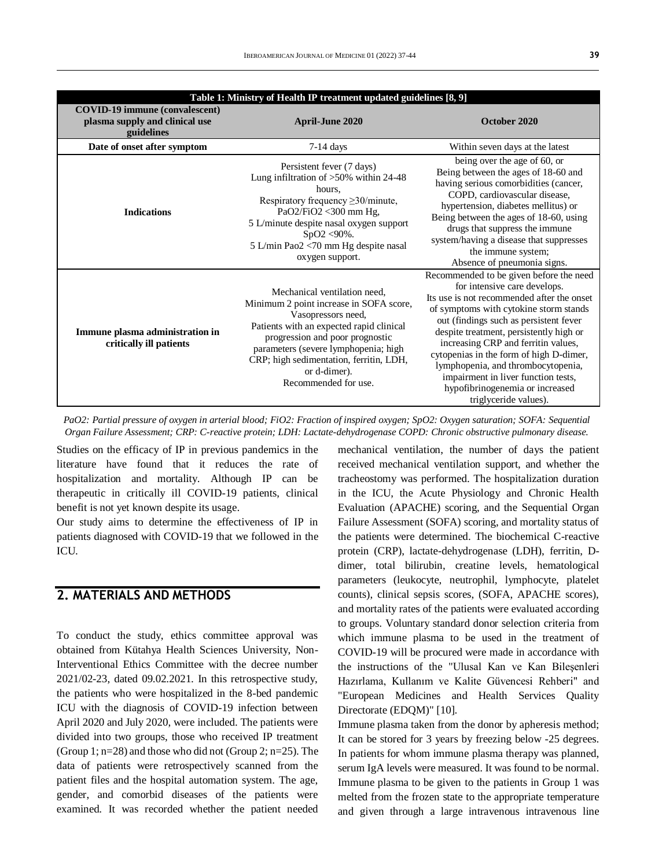| Table 1: Ministry of Health IP treatment updated guidelines [8, 9]                    |                                                                                                                                                                                                                                                                                                         |                                                                                                                                                                                                                                                                                                                                                                                                                                                                                 |  |  |  |
|---------------------------------------------------------------------------------------|---------------------------------------------------------------------------------------------------------------------------------------------------------------------------------------------------------------------------------------------------------------------------------------------------------|---------------------------------------------------------------------------------------------------------------------------------------------------------------------------------------------------------------------------------------------------------------------------------------------------------------------------------------------------------------------------------------------------------------------------------------------------------------------------------|--|--|--|
| <b>COVID-19 immune (convalescent)</b><br>plasma supply and clinical use<br>guidelines | <b>April-June 2020</b>                                                                                                                                                                                                                                                                                  | October 2020                                                                                                                                                                                                                                                                                                                                                                                                                                                                    |  |  |  |
| Date of onset after symptom                                                           | $7-14$ days                                                                                                                                                                                                                                                                                             | Within seven days at the latest                                                                                                                                                                                                                                                                                                                                                                                                                                                 |  |  |  |
| <b>Indications</b>                                                                    | Persistent fever (7 days)<br>Lung infiltration of $>50\%$ within 24-48<br>hours.<br>Respiratory frequency $\geq$ 30/minute,<br>PaO2/FiO2 <300 mm Hg,<br>5 L/minute despite nasal oxygen support<br>$SpO2 < 90\%$ .<br>5 L/min Pao2 <70 mm Hg despite nasal<br>oxygen support.                           | being over the age of 60, or<br>Being between the ages of 18-60 and<br>having serious comorbidities (cancer,<br>COPD, cardiovascular disease,<br>hypertension, diabetes mellitus) or<br>Being between the ages of 18-60, using<br>drugs that suppress the immune<br>system/having a disease that suppresses<br>the immune system;<br>Absence of pneumonia signs.                                                                                                                |  |  |  |
| Immune plasma administration in<br>critically ill patients                            | Mechanical ventilation need,<br>Minimum 2 point increase in SOFA score,<br>Vasopressors need,<br>Patients with an expected rapid clinical<br>progression and poor prognostic<br>parameters (severe lymphopenia; high<br>CRP; high sedimentation, ferritin, LDH,<br>or d-dimer).<br>Recommended for use. | Recommended to be given before the need<br>for intensive care develops.<br>Its use is not recommended after the onset<br>of symptoms with cytokine storm stands<br>out (findings such as persistent fever<br>despite treatment, persistently high or<br>increasing CRP and ferritin values,<br>cytopenias in the form of high D-dimer,<br>lymphopenia, and thrombocytopenia,<br>impairment in liver function tests,<br>hypofibrinogenemia or increased<br>triglyceride values). |  |  |  |

*PaO2: Partial pressure of oxygen in arterial blood; FiO2: Fraction of inspired oxygen; SpO2: Oxygen saturation; SOFA: Sequential Organ Failure Assessment; CRP: C-reactive protein; LDH: Lactate-dehydrogenase COPD: Chronic obstructive pulmonary disease.*

Studies on the efficacy of IP in previous pandemics in the literature have found that it reduces the rate of hospitalization and mortality. Although IP can be therapeutic in critically ill COVID-19 patients, clinical benefit is not yet known despite its usage.

Our study aims to determine the effectiveness of IP in patients diagnosed with COVID-19 that we followed in the ICU.

## **2. MATERIALS AND METHODS**

To conduct the study, ethics committee approval was obtained from Kütahya Health Sciences University, Non-Interventional Ethics Committee with the decree number 2021/02-23, dated 09.02.2021. In this retrospective study, the patients who were hospitalized in the 8-bed pandemic ICU with the diagnosis of COVID-19 infection between April 2020 and July 2020, were included. The patients were divided into two groups, those who received IP treatment (Group 1;  $n=28$ ) and those who did not (Group 2;  $n=25$ ). The data of patients were retrospectively scanned from the patient files and the hospital automation system. The age, gender, and comorbid diseases of the patients were examined. It was recorded whether the patient needed

mechanical ventilation, the number of days the patient received mechanical ventilation support, and whether the tracheostomy was performed. The hospitalization duration in the ICU, the Acute Physiology and Chronic Health Evaluation (APACHE) scoring, and the Sequential Organ Failure Assessment (SOFA) scoring, and mortality status of the patients were determined. The biochemical C-reactive protein (CRP), lactate-dehydrogenase (LDH), ferritin, Ddimer, total bilirubin, creatine levels, hematological parameters (leukocyte, neutrophil, lymphocyte, platelet counts), clinical sepsis scores, (SOFA, APACHE scores), and mortality rates of the patients were evaluated according to groups. Voluntary standard donor selection criteria from which immune plasma to be used in the treatment of COVID-19 will be procured were made in accordance with the instructions of the "Ulusal Kan ve Kan Bileşenleri Hazırlama, Kullanım ve Kalite Güvencesi Rehberi" and "European Medicines and Health Services Quality Directorate (EDQM)" [10].

Immune plasma taken from the donor by apheresis method; It can be stored for 3 years by freezing below -25 degrees. In patients for whom immune plasma therapy was planned, serum IgA levels were measured. It was found to be normal. Immune plasma to be given to the patients in Group 1 was melted from the frozen state to the appropriate temperature and given through a large intravenous intravenous line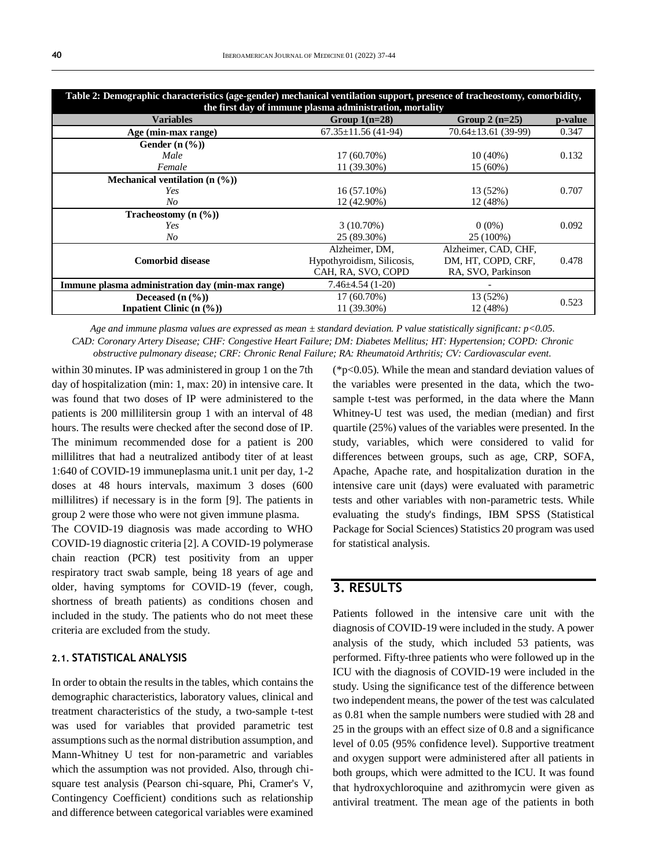| Table 2: Demographic characteristics (age-gender) mechanical ventilation support, presence of tracheostomy, comorbidity,<br>the first day of immune plasma administration, mortality |                            |                           |         |  |
|--------------------------------------------------------------------------------------------------------------------------------------------------------------------------------------|----------------------------|---------------------------|---------|--|
| <b>Variables</b>                                                                                                                                                                     | Group $1(n=28)$            | Group $2(n=25)$           | p-value |  |
| Age (min-max range)                                                                                                                                                                  | $67.35 \pm 11.56$ (41-94)  | $70.64 \pm 13.61$ (39-99) | 0.347   |  |
| Gender $(n \, 0\%)$                                                                                                                                                                  |                            |                           |         |  |
| Male                                                                                                                                                                                 | $17(60.70\%)$              | $10(40\%)$                | 0.132   |  |
| Female                                                                                                                                                                               | 11 (39.30%)                | 15 (60%)                  |         |  |
| Mechanical ventilation $(n \, 0\%)$                                                                                                                                                  |                            |                           |         |  |
| Yes                                                                                                                                                                                  | $16(57.10\%)$              | 13 (52%)                  | 0.707   |  |
| N <sub>O</sub>                                                                                                                                                                       | 12 (42.90%)                | 12 (48%)                  |         |  |
| Tracheostomy $(n \, (%)$                                                                                                                                                             |                            |                           |         |  |
| Yes                                                                                                                                                                                  | $3(10.70\%)$               | $0(0\%)$                  | 0.092   |  |
| No                                                                                                                                                                                   | 25 (89.30%)                | 25 (100%)                 |         |  |
|                                                                                                                                                                                      | Alzheimer, DM,             | Alzheimer, CAD, CHF,      |         |  |
| <b>Comorbid disease</b>                                                                                                                                                              | Hypothyroidism, Silicosis, | DM, HT, COPD, CRF,        | 0.478   |  |
|                                                                                                                                                                                      | CAH, RA, SVO, COPD         | RA, SVO, Parkinson        |         |  |
| Immune plasma administration day (min-max range)                                                                                                                                     | $7.46 \pm 4.54(1-20)$      |                           |         |  |
| Deceased $(n \, 0\%)$                                                                                                                                                                | 17 (60.70%)                | 13 (52%)                  | 0.523   |  |
| <b>Inpatient Clinic (n <math>(\frac{9}{6})</math>)</b>                                                                                                                               | 11 (39.30%)                | 12 (48%)                  |         |  |

*Age and immune plasma values are expressed as mean ± standard deviation. P value statistically significant: p<0.05. CAD: Coronary Artery Disease; CHF: Congestive Heart Failure; DM: Diabetes Mellitus; HT: Hypertension; COPD: Chronic obstructive pulmonary disease; CRF: Chronic Renal Failure; RA: Rheumatoid Arthritis; CV: Cardiovascular event.*

within 30 minutes. IP was administered in group 1 on the 7th day of hospitalization (min: 1, max: 20) in intensive care. It was found that two doses of IP were administered to the patients is 200 millilitersin group 1 with an interval of 48 hours. The results were checked after the second dose of IP. The minimum recommended dose for a patient is 200 millilitres that had a neutralized antibody titer of at least 1:640 of COVID-19 immuneplasma unit.1 unit per day, 1-2 doses at 48 hours intervals, maximum 3 doses (600 millilitres) if necessary is in the form [9]. The patients in group 2 were those who were not given immune plasma.

The COVID-19 diagnosis was made according to WHO COVID-19 diagnostic criteria [2]. A COVID-19 polymerase chain reaction (PCR) test positivity from an upper respiratory tract swab sample, being 18 years of age and older, having symptoms for COVID-19 (fever, cough, shortness of breath patients) as conditions chosen and included in the study. The patients who do not meet these criteria are excluded from the study.

### **2.1. STATISTICAL ANALYSIS**

In order to obtain the results in the tables, which contains the demographic characteristics, laboratory values, clinical and treatment characteristics of the study, a two-sample t-test was used for variables that provided parametric test assumptions such as the normal distribution assumption, and Mann-Whitney U test for non-parametric and variables which the assumption was not provided. Also, through chisquare test analysis (Pearson chi-square, Phi, Cramer's V, Contingency Coefficient) conditions such as relationship and difference between categorical variables were examined

(\*p<0.05). While the mean and standard deviation values of the variables were presented in the data, which the twosample t-test was performed, in the data where the Mann Whitney-U test was used, the median (median) and first quartile (25%) values of the variables were presented. In the study, variables, which were considered to valid for differences between groups, such as age, CRP, SOFA, Apache, Apache rate, and hospitalization duration in the intensive care unit (days) were evaluated with parametric tests and other variables with non-parametric tests. While evaluating the study's findings, IBM SPSS (Statistical Package for Social Sciences) Statistics 20 program was used for statistical analysis.

### **3. RESULTS**

Patients followed in the intensive care unit with the diagnosis of COVID-19 were included in the study. A power analysis of the study, which included 53 patients, was performed. Fifty-three patients who were followed up in the ICU with the diagnosis of COVID-19 were included in the study. Using the significance test of the difference between two independent means, the power of the test was calculated as 0.81 when the sample numbers were studied with 28 and 25 in the groups with an effect size of 0.8 and a significance level of 0.05 (95% confidence level). Supportive treatment and oxygen support were administered after all patients in both groups, which were admitted to the ICU. It was found that hydroxychloroquine and azithromycin were given as antiviral treatment. The mean age of the patients in both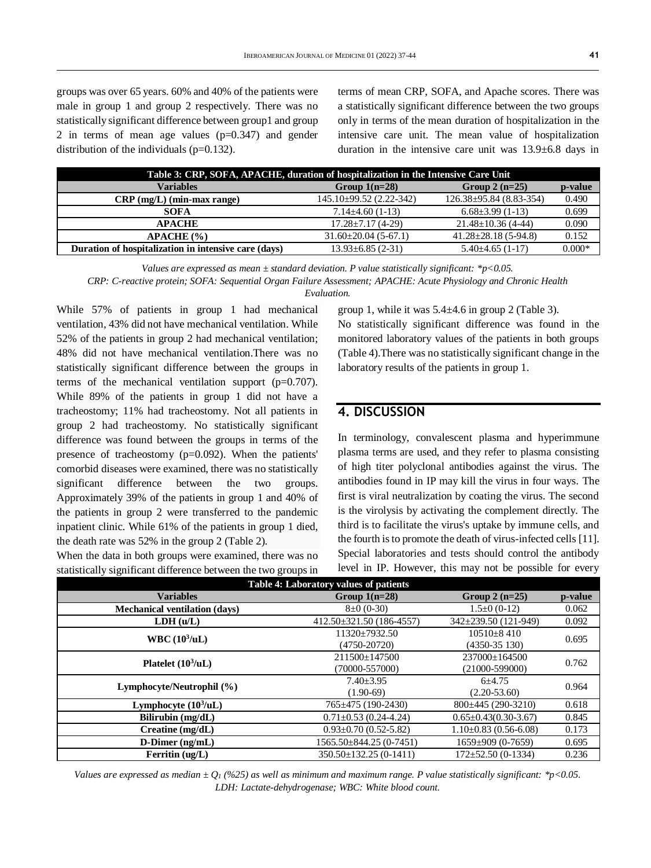groups was over 65 years. 60% and 40% of the patients were male in group 1 and group 2 respectively. There was no statistically significant difference between group1 and group 2 in terms of mean age values (p=0.347) and gender distribution of the individuals (p=0.132).

terms of mean CRP, SOFA, and Apache scores. There was a statistically significant difference between the two groups only in terms of the mean duration of hospitalization in the intensive care unit. The mean value of hospitalization duration in the intensive care unit was 13.9±6.8 days in

| Table 3: CRP, SOFA, APACHE, duration of hospitalization in the Intensive Care Unit |                            |                               |          |  |  |
|------------------------------------------------------------------------------------|----------------------------|-------------------------------|----------|--|--|
| <b>Variables</b>                                                                   | Group $1(n=28)$            | Group 2 $(n=25)$              | p-value  |  |  |
| $CRP$ (mg/L) (min-max range)                                                       | $145.10\pm99.52(2.22-342)$ | $126.38 \pm 95.84$ (8.83-354) | 0.490    |  |  |
| <b>SOFA</b>                                                                        | $7.14 \pm 4.60$ (1-13)     | $6.68\pm3.99(1-13)$           | 0.699    |  |  |
| <b>APACHE</b>                                                                      | $17.28 \pm 7.17(4-29)$     | $21.48 \pm 10.36(4-44)$       | 0.090    |  |  |
| APACHE (%)                                                                         | $31.60 \pm 20.04$ (5-67.1) | $41.28 \pm 28.18$ (5-94.8)    | 0.152    |  |  |
| Duration of hospitalization in intensive care (days)                               | $13.93\pm 6.85(2-31)$      | $5.40\pm4.65(1-17)$           | $0.000*$ |  |  |

*Values are expressed as mean ± standard deviation. P value statistically significant: \*p<0.05.*

*CRP: C-reactive protein; SOFA: Sequential Organ Failure Assessment; APACHE: Acute Physiology and Chronic Health Evaluation.*

While 57% of patients in group 1 had mechanical ventilation, 43% did not have mechanical ventilation. While 52% of the patients in group 2 had mechanical ventilation; 48% did not have mechanical ventilation.There was no statistically significant difference between the groups in terms of the mechanical ventilation support  $(p=0.707)$ . While 89% of the patients in group 1 did not have a tracheostomy; 11% had tracheostomy. Not all patients in group 2 had tracheostomy. No statistically significant difference was found between the groups in terms of the presence of tracheostomy  $(p=0.092)$ . When the patients' comorbid diseases were examined, there was no statistically significant difference between the two groups. Approximately 39% of the patients in group 1 and 40% of the patients in group 2 were transferred to the pandemic inpatient clinic. While 61% of the patients in group 1 died, the death rate was 52% in the group 2 (Table 2).

When the data in both groups were examined, there was no statistically significant difference between the two groups in group 1, while it was  $5.4\pm4.6$  in group 2 (Table 3).

No statistically significant difference was found in the monitored laboratory values of the patients in both groups (Table 4).There was no statistically significant change in the laboratory results of the patients in group 1.

### **4. DISCUSSION**

In terminology, convalescent plasma and hyperimmune plasma terms are used, and they refer to plasma consisting of high titer polyclonal antibodies against the virus. The antibodies found in IP may kill the virus in four ways. The first is viral neutralization by coating the virus. The second is the virolysis by activating the complement directly. The third is to facilitate the virus's uptake by immune cells, and the fourth is to promote the death of virus-infected cells [11]. Special laboratories and tests should control the antibody level in IP. However, this may not be possible for every

| Table 4: Laboratory values of patients |                                   |                                   |         |  |  |  |
|----------------------------------------|-----------------------------------|-----------------------------------|---------|--|--|--|
| <b>Variables</b>                       | Group $1(n=28)$                   | Group $2(n=25)$                   | p-value |  |  |  |
| <b>Mechanical ventilation (days)</b>   | $8\pm0(0-30)$                     | $1.5\pm0(0-12)$                   | 0.062   |  |  |  |
| LDH (u/L)                              | 412.50±321.50 (186-4557)          | 342±239.50 (121-949)              | 0.092   |  |  |  |
| WBC $(10^3/\text{uL})$                 | 11320±7932.50<br>$(4750 - 20720)$ | $10510 + 8410$<br>$(4350-35130)$  | 0.695   |  |  |  |
| Platelet $(10^3/\text{uL})$            | 211500+147500<br>(70000-557000)   | 237000+164500<br>$(21000-599000)$ | 0.762   |  |  |  |
| Lymphocyte/Neutrophil (%)              | $7.40 \pm 3.95$<br>$(1.90-69)$    | $6 + 4.75$<br>$(2.20 - 53.60)$    | 0.964   |  |  |  |
| Lymphocyte $(10^3/\text{uL})$          | 765±475 (190-2430)                | $800\pm445(290-3210)$             | 0.618   |  |  |  |
| Bilirubin (mg/dL)                      | $0.71 \pm 0.53$ (0.24-4.24)       | $0.65 \pm 0.43(0.30 - 3.67)$      | 0.845   |  |  |  |
| Create (mg/dL)                         | $0.93 \pm 0.70$ (0.52-5.82)       | $1.10\pm0.83(0.56-6.08)$          | 0.173   |  |  |  |
| $D$ -Dimer (ng/mL)                     | 1565.50±844.25 (0-7451)           | $1659\pm909$ (0-7659)             | 0.695   |  |  |  |
| Ferritin $(ug/L)$                      | $350.50 \pm 132.25(0-1411)$       | $172 \pm 52.50$ (0-1334)          | 0.236   |  |  |  |

*Values are expressed as median ± Q<sup>1</sup> (%25) as well as minimum and maximum range. P value statistically significant: \*p<0.05. LDH: Lactate-dehydrogenase; WBC: White blood count.*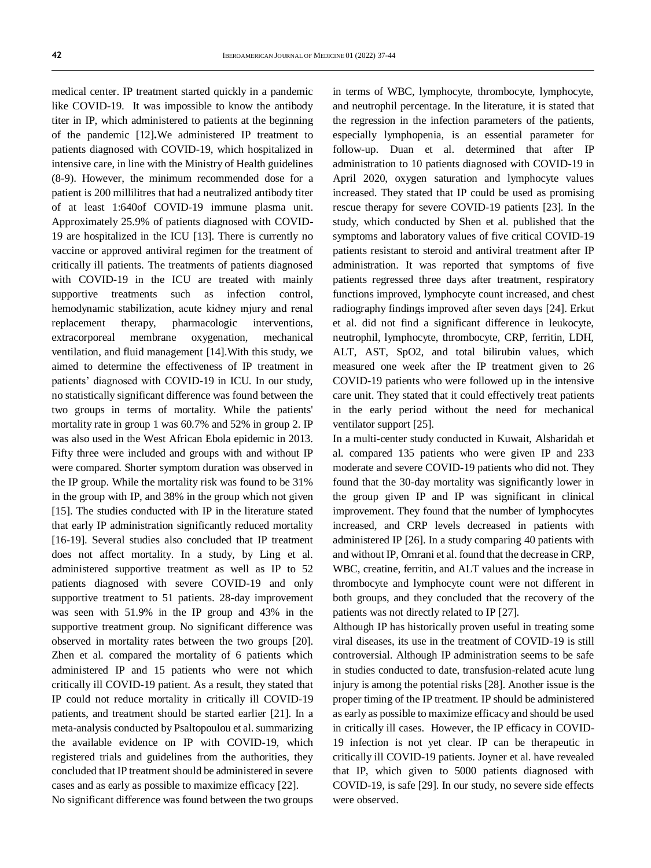medical center. IP treatment started quickly in a pandemic like COVID-19. It was impossible to know the antibody titer in IP, which administered to patients at the beginning of the pandemic [12]**.**We administered IP treatment to patients diagnosed with COVID-19, which hospitalized in intensive care, in line with the Ministry of Health guidelines (8-9). However, the minimum recommended dose for a patient is 200 millilitres that had a neutralized antibody titer of at least 1:640of COVID-19 immune plasma unit. Approximately 25.9% of patients diagnosed with COVID-19 are hospitalized in the ICU [13]. There is currently no vaccine or approved antiviral regimen for the treatment of critically ill patients. The treatments of patients diagnosed with COVID-19 in the ICU are treated with mainly supportive treatments such as infection control, hemodynamic stabilization, acute kidney ınjury and renal replacement therapy, pharmacologic interventions, extracorporeal membrane oxygenation, mechanical ventilation, and fluid management [14].With this study, we aimed to determine the effectiveness of IP treatment in patients' diagnosed with COVID-19 in ICU. In our study, no statistically significant difference was found between the two groups in terms of mortality. While the patients' mortality rate in group 1 was 60.7% and 52% in group 2. IP was also used in the West African Ebola epidemic in 2013. Fifty three were included and groups with and without IP were compared. Shorter symptom duration was observed in the IP group. While the mortality risk was found to be 31% in the group with IP, and 38% in the group which not given [15]. The studies conducted with IP in the literature stated that early IP administration significantly reduced mortality [16-19]. Several studies also concluded that IP treatment does not affect mortality. In a study, by Ling et al. administered supportive treatment as well as IP to 52 patients diagnosed with severe COVID-19 and only supportive treatment to 51 patients. 28-day improvement was seen with 51.9% in the IP group and 43% in the supportive treatment group. No significant difference was observed in mortality rates between the two groups [20]. Zhen et al. compared the mortality of 6 patients which administered IP and 15 patients who were not which critically ill COVID-19 patient. As a result, they stated that IP could not reduce mortality in critically ill COVID-19 patients, and treatment should be started earlier [21]. In a meta-analysis conducted by Psaltopoulou et al. summarizing the available evidence on IP with COVID-19, which registered trials and guidelines from the authorities, they concluded that IP treatment should be administered in severe cases and as early as possible to maximize efficacy [22]. No significant difference was found between the two groups

in terms of WBC, lymphocyte, thrombocyte, lymphocyte, and neutrophil percentage. In the literature, it is stated that the regression in the infection parameters of the patients, especially lymphopenia, is an essential parameter for follow-up. Duan et al. determined that after IP administration to 10 patients diagnosed with COVID-19 in April 2020, oxygen saturation and lymphocyte values increased. They stated that IP could be used as promising rescue therapy for severe COVID-19 patients [23]. In the study, which conducted by Shen et al. published that the symptoms and laboratory values of five critical COVID-19 patients resistant to steroid and antiviral treatment after IP administration. It was reported that symptoms of five patients regressed three days after treatment, respiratory functions improved, lymphocyte count increased, and chest radiography findings improved after seven days [24]. Erkut et al. did not find a significant difference in leukocyte, neutrophil, lymphocyte, thrombocyte, CRP, ferritin, LDH, ALT, AST, SpO2, and total bilirubin values, which measured one week after the IP treatment given to 26 COVID-19 patients who were followed up in the intensive care unit. They stated that it could effectively treat patients in the early period without the need for mechanical ventilator support [25].

In a multi-center study conducted in Kuwait, Alsharidah et al. compared 135 patients who were given IP and 233 moderate and severe COVID-19 patients who did not. They found that the 30-day mortality was significantly lower in the group given IP and IP was significant in clinical improvement. They found that the number of lymphocytes increased, and CRP levels decreased in patients with administered IP [26]. In a study comparing 40 patients with and without IP, Omrani et al. found that the decrease in CRP, WBC, creatine, ferritin, and ALT values and the increase in thrombocyte and lymphocyte count were not different in both groups, and they concluded that the recovery of the patients was not directly related to IP [27].

Although IP has historically proven useful in treating some viral diseases, its use in the treatment of COVID-19 is still controversial. Although IP administration seems to be safe in studies conducted to date, transfusion-related acute lung injury is among the potential risks [28]. Another issue is the proper timing of the IP treatment. IP should be administered as early as possible to maximize efficacy and should be used in critically ill cases. However, the IP efficacy in COVID-19 infection is not yet clear. IP can be therapeutic in critically ill COVID-19 patients. Joyner et al. have revealed that IP, which given to 5000 patients diagnosed with COVID-19, is safe [29]. In our study, no severe side effects were observed.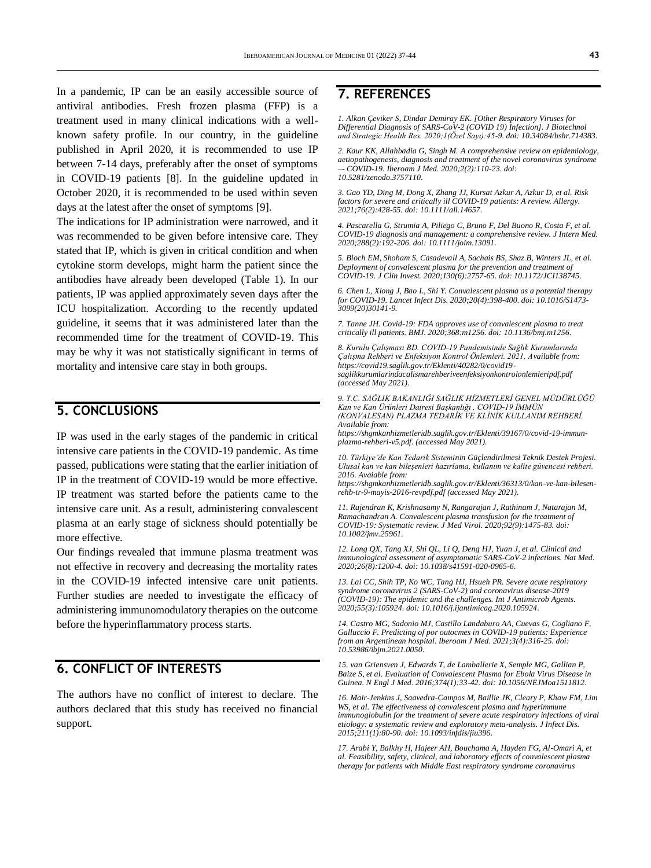In a pandemic, IP can be an easily accessible source of antiviral antibodies. Fresh frozen plasma (FFP) is a treatment used in many clinical indications with a wellknown safety profile. In our country, in the guideline published in April 2020, it is recommended to use IP between 7-14 days, preferably after the onset of symptoms in COVID-19 patients [8]. In the guideline updated in October 2020, it is recommended to be used within seven days at the latest after the onset of symptoms [9].

The indications for IP administration were narrowed, and it was recommended to be given before intensive care. They stated that IP, which is given in critical condition and when cytokine storm develops, might harm the patient since the antibodies have already been developed (Table 1). In our patients, IP was applied approximately seven days after the ICU hospitalization. According to the recently updated guideline, it seems that it was administered later than the recommended time for the treatment of COVID-19. This may be why it was not statistically significant in terms of mortality and intensive care stay in both groups.

### **5. CONCLUSIONS**

IP was used in the early stages of the pandemic in critical intensive care patients in the COVID-19 pandemic. As time passed, publications were stating that the earlier initiation of IP in the treatment of COVID-19 would be more effective. IP treatment was started before the patients came to the intensive care unit. As a result, administering convalescent plasma at an early stage of sickness should potentially be more effective.

Our findings revealed that immune plasma treatment was not effective in recovery and decreasing the mortality rates in the COVID-19 infected intensive care unit patients. Further studies are needed to investigate the efficacy of administering immunomodulatory therapies on the outcome before the hyperinflammatory process starts.

### **6. CONFLICT OF INTERESTS**

The authors have no conflict of interest to declare. The authors declared that this study has received no financial support.

# **7. REFERENCES**

*1. Alkan Çeviker S, Dindar Demiray EK. [Other Respiratory Viruses for Differential Diagnosis of SARS-CoV-2 (COVID 19) Infection]. J Biotechnol and Strategic Health Res. 2020;1(Özel Sayı):45-9. doi[: 10.34084/bshr.714383.](https://doi.org/10.34084/bshr.714383)*

*2. Kaur KK, Allahbadia G, Singh M[. A comprehensive review on epidemiology,](https://www.iberoamjmed.com/journal/iberoamericanjm/article/doi/10.5281/zenodo.3757110)  [aetiopathogenesis, diagnosis and treatment of the novel coronavirus](https://www.iberoamjmed.com/journal/iberoamericanjm/article/doi/10.5281/zenodo.3757110) syndrome –- [COVID-19.](https://www.iberoamjmed.com/journal/iberoamericanjm/article/doi/10.5281/zenodo.3757110) Iberoam J Med. 2020;2(2):110-23. doi: [10.5281/zenodo.3757110.](http://dx.doi.org/10.5281/zenodo.3757110)*

*3. Gao YD, Ding M, Dong X, Zhang JJ, Kursat Azkur A, Azkur D, et al. Risk factors for severe and critically ill COVID-19 patients: A review. Allergy. 2021;76(2):428-55. doi[: 10.1111/all.14657.](https://doi.org/10.1111/all.14657)*

*4. Pascarella G, Strumia A, Piliego C, Bruno F, Del Buono R, Costa F, et al. COVID-19 diagnosis and management: a comprehensive review. J Intern Med. 2020;288(2):192-206. doi[: 10.1111/joim.13091.](https://doi.org/10.1111/joim.13091)*

*5. Bloch EM, Shoham S, Casadevall A, Sachais BS, Shaz B, Winters JL, et al. Deployment of convalescent plasma for the prevention and treatment of COVID-19. J Clin Invest. 2020;130(6):2757-65. doi[: 10.1172/JCI138745.](https://doi.org/10.1172/jci138745)*

*6. Chen L, Xiong J, Bao L, Shi Y. Convalescent plasma as a potential therapy for COVID-19. Lancet Infect Dis. 2020;20(4):398-400. doi[: 10.1016/S1473-](https://doi.org/10.1016/s1473-3099(20)30141-9) [3099\(20\)30141-9.](https://doi.org/10.1016/s1473-3099(20)30141-9)*

*7. Tanne JH. Covid-19: FDA approves use of convalescent plasma to treat critically ill patients. BMJ. 2020;368:m1256. doi: [10.1136/bmj.m1256.](https://doi.org/10.1136/bmj.m1256)*

*8. Kurulu Çalışması BD. COVID-19 Pandemisinde Sağlık Kurumlarında Çalışma Rehberi ve Enfeksiyon Kontrol Önlemleri. 2021. Available from: [https://covid19.saglik.gov.tr/Eklenti/40282/0/covid19](https://covid19.saglik.gov.tr/Eklenti/40282/0/covid19-saglikkurumlarindacalismarehberiveenfeksiyonkontrolonlemleripdf.pdf%20(accessed%20May%202021).) [saglikkurumlarindacalismarehberiveenfeksiyonkontrolonlemleripdf.pdf](https://covid19.saglik.gov.tr/Eklenti/40282/0/covid19-saglikkurumlarindacalismarehberiveenfeksiyonkontrolonlemleripdf.pdf%20(accessed%20May%202021).)  [\(accessed May 2021\).](https://covid19.saglik.gov.tr/Eklenti/40282/0/covid19-saglikkurumlarindacalismarehberiveenfeksiyonkontrolonlemleripdf.pdf%20(accessed%20May%202021).)*

*9. T.C. SAĞLIK BAKANLIĞI SAĞLIK HİZMETLERİ GENEL MÜDÜRLÜĞÜ Kan ve Kan Ürünleri Dairesi Başkanlığı . COVID-19 İMMÜN (KONVALESAN) PLAZMA TEDARİK VE KLİNİK KULLANIM REHBERİ. Available from:* 

*[https://shgmkanhizmetleridb.saglik.gov.tr/Eklenti/39167/0/covid-19-immun](https://shgmkanhizmetleridb.saglik.gov.tr/Eklenti/39167/0/covid-19-immun-plazma-rehberi-v5.pdf)[plazma-rehberi-v5.pdf.](https://shgmkanhizmetleridb.saglik.gov.tr/Eklenti/39167/0/covid-19-immun-plazma-rehberi-v5.pdf) (accessed May 2021).*

*10. Türkiye'de Kan Tedarik Sisteminin Güçlendirilmesi Teknik Destek Projesi. Ulusal kan ve kan bileşenleri hazırlama, kullanım ve kalite güvencesi rehberi. 2016. Avaiable from:* 

*[https://shgmkanhizmetleridb.saglik.gov.tr/Eklenti/36313/0/kan-ve-kan-bilesen](https://shgmkanhizmetleridb.saglik.gov.tr/Eklenti/36313/0/kan-ve-kan-bilesen-rehb-tr-9-mayis-2016-revpdf.pdf)[rehb-tr-9-mayis-2016-revpdf.pdf](https://shgmkanhizmetleridb.saglik.gov.tr/Eklenti/36313/0/kan-ve-kan-bilesen-rehb-tr-9-mayis-2016-revpdf.pdf) (accessed May 2021).*

*11. Rajendran K, Krishnasamy N, Rangarajan J, Rathinam J, Natarajan M, Ramachandran A. Convalescent plasma transfusion for the treatment of COVID-19: Systematic review. J Med Virol. 2020;92(9):1475-83. doi: [10.1002/jmv.25961.](https://doi.org/10.1002/jmv.25961)*

*12. Long QX, Tang XJ, Shi QL, Li Q, Deng HJ, Yuan J, et al. Clinical and immunological assessment of asymptomatic SARS-CoV-2 infections. Nat Med. 2020;26(8):1200-4. doi[: 10.1038/s41591-020-0965-6.](https://doi.org/10.1038/s41591-020-0965-6)*

*13. Lai CC, Shih TP, Ko WC, Tang HJ, Hsueh PR. Severe acute respiratory syndrome coronavirus 2 (SARS-CoV-2) and coronavirus disease-2019 (COVID-19): The epidemic and the challenges. Int J Antimicrob Agents. 2020;55(3):105924. doi[: 10.1016/j.ijantimicag.2020.105924.](https://doi.org/10.1016/j.ijantimicag.2020.105924)*

*14. Castro MG, Sadonio MJ, Castillo Landaburo AA, Cuevas G, Cogliano F, Galluccio F. Predicting of por outocmes in COVID-19 patients: Experience from an Argentinean hospital. Iberoam J Med. 2021;3(4):316-25. doi: [10.53986/ibjm.2021.0050.](https://doi.org/10.53986/ibjm.2021.0050)*

*15. van Griensven J, Edwards T, de Lamballerie X, Semple MG, Gallian P, Baize S, et al. Evaluation of Convalescent Plasma for Ebola Virus Disease in Guinea. N Engl J Med. 2016;374(1):33-42. doi[: 10.1056/NEJMoa1511812.](https://doi.org/10.1056/nejmoa1511812)*

*16. Mair-Jenkins J, Saavedra-Campos M, Baillie JK, Cleary P, Khaw FM, Lim WS, et al. The effectiveness of convalescent plasma and hyperimmune immunoglobulin for the treatment of severe acute respiratory infections of viral etiology: a systematic review and exploratory meta-analysis. J Infect Dis. 2015;211(1):80-90. doi[: 10.1093/infdis/jiu396.](https://doi.org/10.1093/infdis/jiu396)*

*17. Arabi Y, Balkhy H, Hajeer AH, Bouchama A, Hayden FG, Al-Omari A, et al. Feasibility, safety, clinical, and laboratory effects of convalescent plasma therapy for patients with Middle East respiratory syndrome coronavirus*